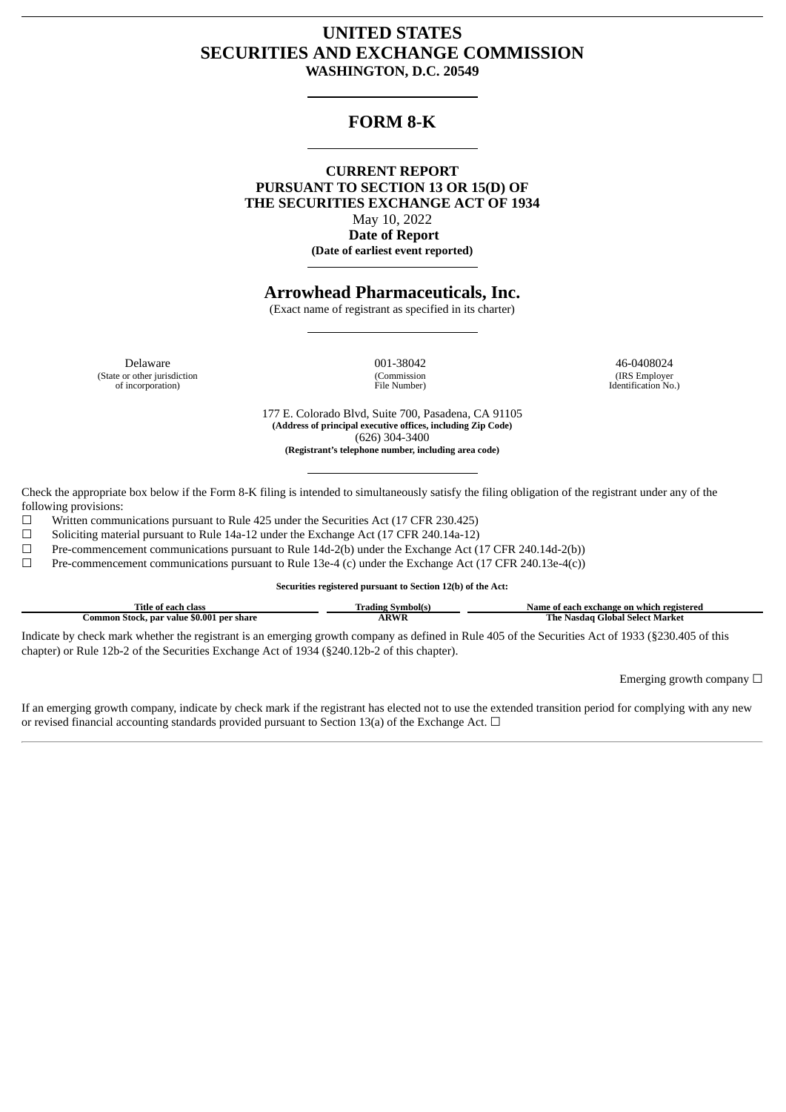# **UNITED STATES SECURITIES AND EXCHANGE COMMISSION WASHINGTON, D.C. 20549**

# **FORM 8-K**

**CURRENT REPORT PURSUANT TO SECTION 13 OR 15(D) OF THE SECURITIES EXCHANGE ACT OF 1934** May 10, 2022 **Date of Report (Date of earliest event reported)**

# **Arrowhead Pharmaceuticals, Inc.**

(Exact name of registrant as specified in its charter)

(State or other jurisdiction of incorporation)

(Commission File Number)

Delaware 001-38042 46-0408024 (IRS Employer Identification No.)

> 177 E. Colorado Blvd, Suite 700, Pasadena, CA 91105 **(Address of principal executive offices, including Zip Code)** (626) 304-3400 **(Registrant's telephone number, including area code)**

Check the appropriate box below if the Form 8-K filing is intended to simultaneously satisfy the filing obligation of the registrant under any of the following provisions:

☐ Written communications pursuant to Rule 425 under the Securities Act (17 CFR 230.425)

☐ Soliciting material pursuant to Rule 14a-12 under the Exchange Act (17 CFR 240.14a-12)

 $\Box$  Pre-commencement communications pursuant to Rule 14d-2(b) under the Exchange Act (17 CFR 240.14d-2(b))

 $□$  Pre-commencement communications pursuant to Rule 13e-4 (c) under the Exchange Act (17 CFR 240.13e-4(c))

**Securities registered pursuant to Section 12(b) of the Act:**

| Title of each class                       | * Symbol(s)<br>rading | Name of each exchange on which registered |
|-------------------------------------------|-----------------------|-------------------------------------------|
| Common Stock, par value \$0.001 per share | ARWR                  | . Global Select Market .<br>The Nasdag    |

Indicate by check mark whether the registrant is an emerging growth company as defined in Rule 405 of the Securities Act of 1933 (§230.405 of this chapter) or Rule 12b-2 of the Securities Exchange Act of 1934 (§240.12b-2 of this chapter).

Emerging growth company  $\Box$ 

If an emerging growth company, indicate by check mark if the registrant has elected not to use the extended transition period for complying with any new or revised financial accounting standards provided pursuant to Section 13(a) of the Exchange Act.  $\Box$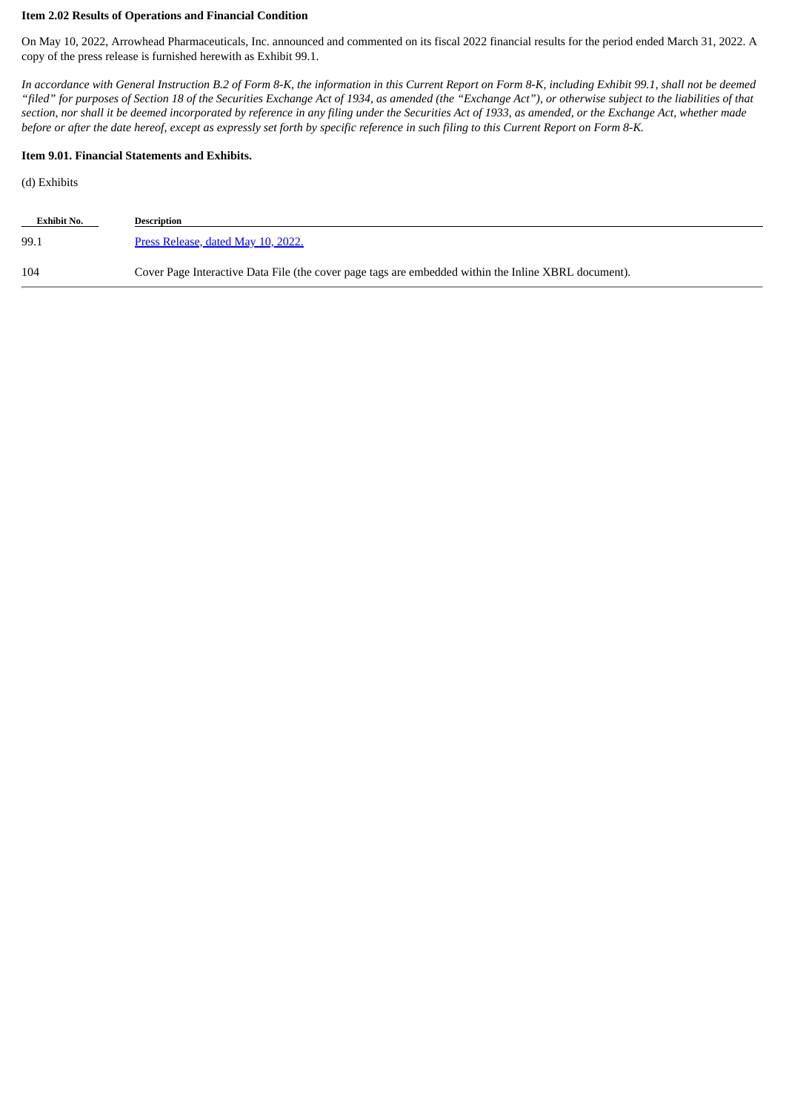### **Item 2.02 Results of Operations and Financial Condition**

On May 10, 2022, Arrowhead Pharmaceuticals, Inc. announced and commented on its fiscal 2022 financial results for the period ended March 31, 2022. A copy of the press release is furnished herewith as Exhibit 99.1.

In accordance with General Instruction B.2 of Form 8-K, the information in this Current Report on Form 8-K, including Exhibit 99.1, shall not be deemed "filed" for purposes of Section 18 of the Securities Exchange Act of 1934, as amended (the "Exchange Act"), or otherwise subject to the liabilities of that section, nor shall it be deemed incorporated by reference in any filing under the Securities Act of 1933, as amended, or the Exchange Act, whether made before or after the date hereof, except as expressly set forth by specific reference in such filing to this Current Report on Form 8-K.

### **Item 9.01. Financial Statements and Exhibits.**

(d) Exhibits

| Exhibit No. | <b>Description</b>                                                                                   |
|-------------|------------------------------------------------------------------------------------------------------|
| 99.1        | Press Release, dated May 10, 2022.                                                                   |
| 104         | Cover Page Interactive Data File (the cover page tags are embedded within the Inline XBRL document). |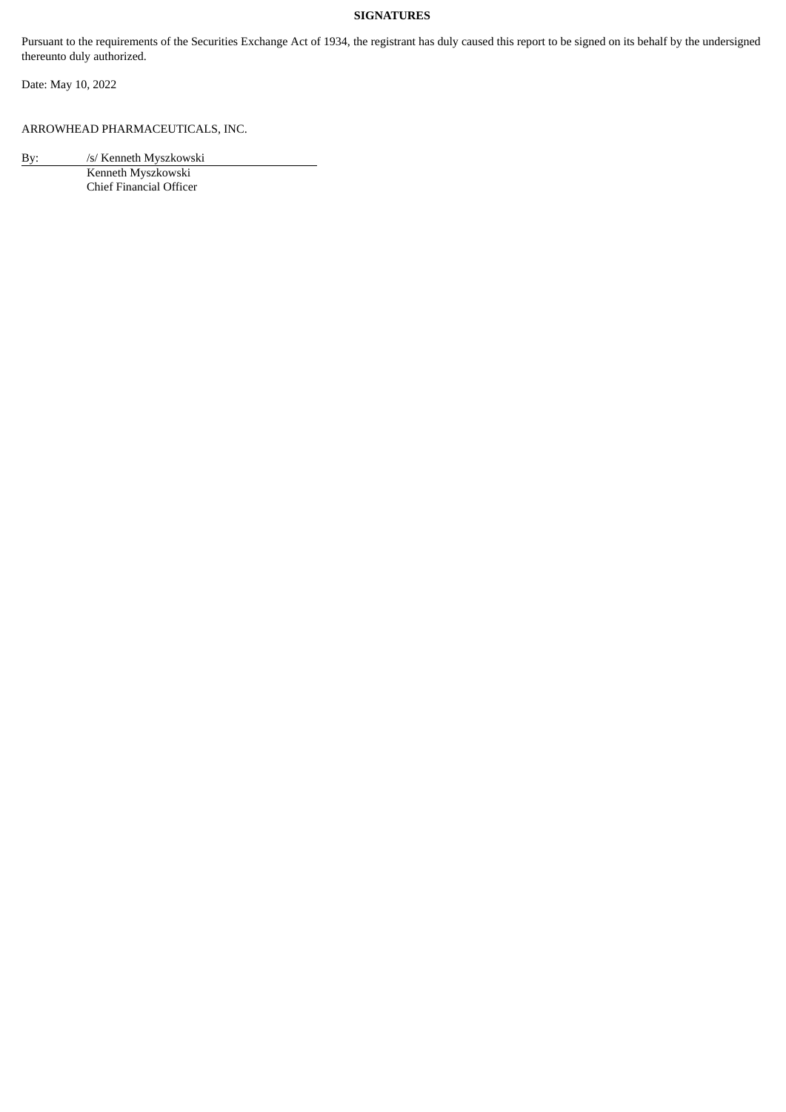# **SIGNATURES**

Pursuant to the requirements of the Securities Exchange Act of 1934, the registrant has duly caused this report to be signed on its behalf by the undersigned thereunto duly authorized.

Date: May 10, 2022

ARROWHEAD PHARMACEUTICALS, INC.

By: /s/ Kenneth Myszkowski

Kenneth Myszkowski Chief Financial Officer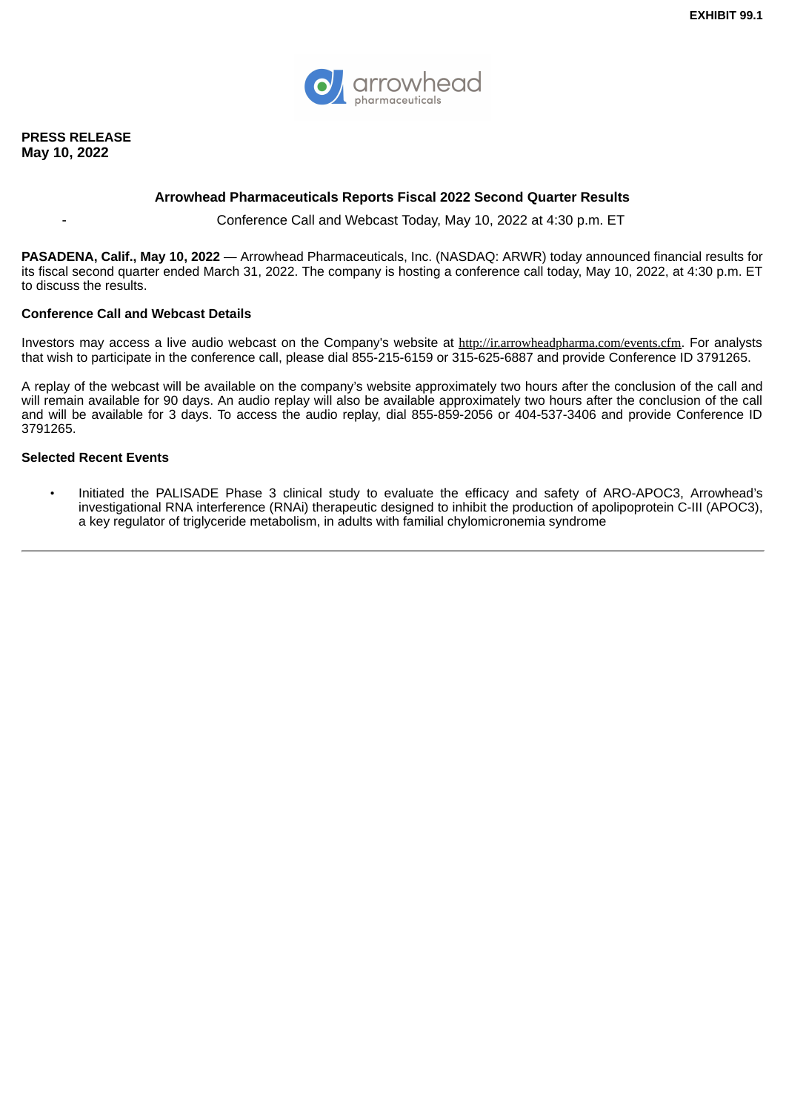

# <span id="page-3-0"></span>**Arrowhead Pharmaceuticals Reports Fiscal 2022 Second Quarter Results**

Conference Call and Webcast Today, May 10, 2022 at 4:30 p.m. ET

**PASADENA, Calif., May 10, 2022** — Arrowhead Pharmaceuticals, Inc. (NASDAQ: ARWR) today announced financial results for its fiscal second quarter ended March 31, 2022. The company is hosting a conference call today, May 10, 2022, at 4:30 p.m. ET to discuss the results.

### **Conference Call and Webcast Details**

Investors may access a live audio webcast on the Company's website at http://ir.arrowheadpharma.com/events.cfm. For analysts that wish to participate in the conference call, please dial 855-215-6159 or 315-625-6887 and provide Conference ID 3791265.

A replay of the webcast will be available on the company's website approximately two hours after the conclusion of the call and will remain available for 90 days. An audio replay will also be available approximately two hours after the conclusion of the call and will be available for 3 days. To access the audio replay, dial 855-859-2056 or 404-537-3406 and provide Conference ID 3791265.

# **Selected Recent Events**

• Initiated the PALISADE Phase 3 clinical study to evaluate the efficacy and safety of ARO-APOC3, Arrowhead's investigational RNA interference (RNAi) therapeutic designed to inhibit the production of apolipoprotein C-III (APOC3), a key regulator of triglyceride metabolism, in adults with familial chylomicronemia syndrome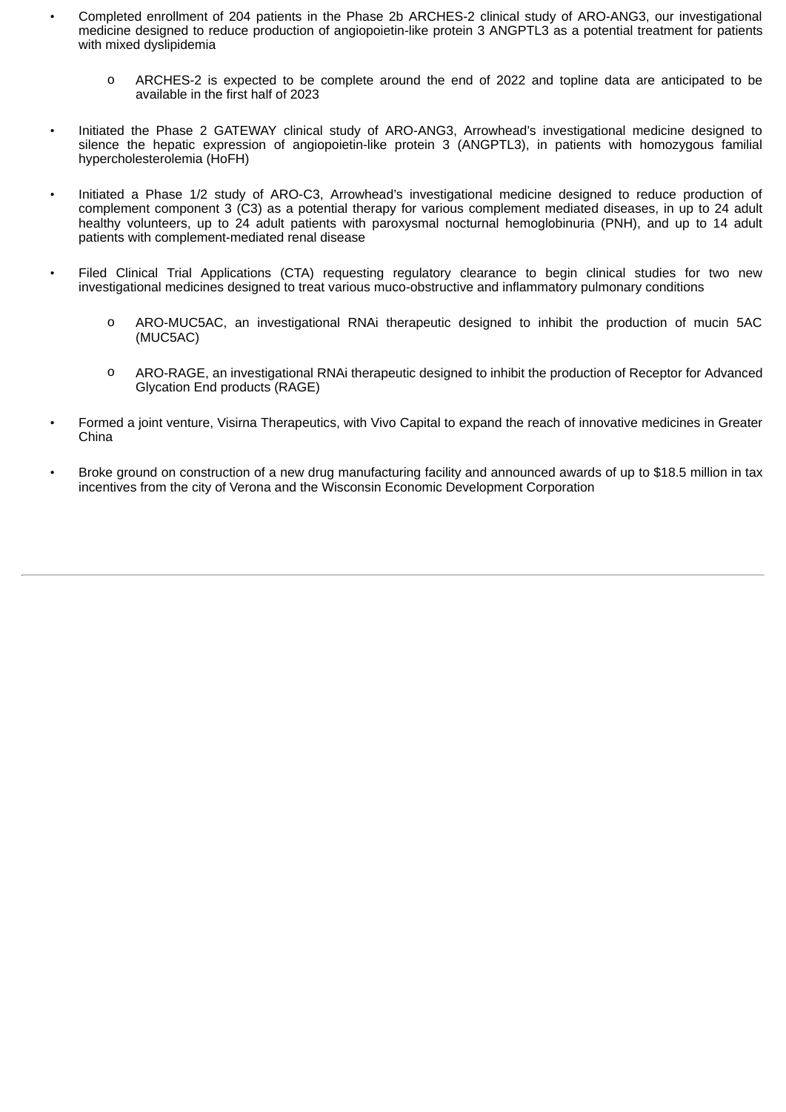- Completed enrollment of 204 patients in the Phase 2b ARCHES-2 clinical study of ARO-ANG3, our investigational medicine designed to reduce production of angiopoietin-like protein 3 ANGPTL3 as a potential treatment for patients with mixed dyslipidemia
	- o ARCHES-2 is expected to be complete around the end of 2022 and topline data are anticipated to be available in the first half of 2023
- Initiated the Phase 2 GATEWAY clinical study of ARO-ANG3, Arrowhead's investigational medicine designed to silence the hepatic expression of angiopoietin-like protein 3 (ANGPTL3), in patients with homozygous familial hypercholesterolemia (HoFH)
- Initiated a Phase 1/2 study of ARO-C3, Arrowhead's investigational medicine designed to reduce production of complement component 3 (C3) as a potential therapy for various complement mediated diseases, in up to 24 adult healthy volunteers, up to 24 adult patients with paroxysmal nocturnal hemoglobinuria (PNH), and up to 14 adult patients with complement-mediated renal disease
- Filed Clinical Trial Applications (CTA) requesting regulatory clearance to begin clinical studies for two new investigational medicines designed to treat various muco-obstructive and inflammatory pulmonary conditions
	- o ARO-MUC5AC, an investigational RNAi therapeutic designed to inhibit the production of mucin 5AC (MUC5AC)
	- o ARO-RAGE, an investigational RNAi therapeutic designed to inhibit the production of Receptor for Advanced Glycation End products (RAGE)
- Formed a joint venture, Visirna Therapeutics, with Vivo Capital to expand the reach of innovative medicines in Greater China
- Broke ground on construction of a new drug manufacturing facility and announced awards of up to \$18.5 million in tax incentives from the city of Verona and the Wisconsin Economic Development Corporation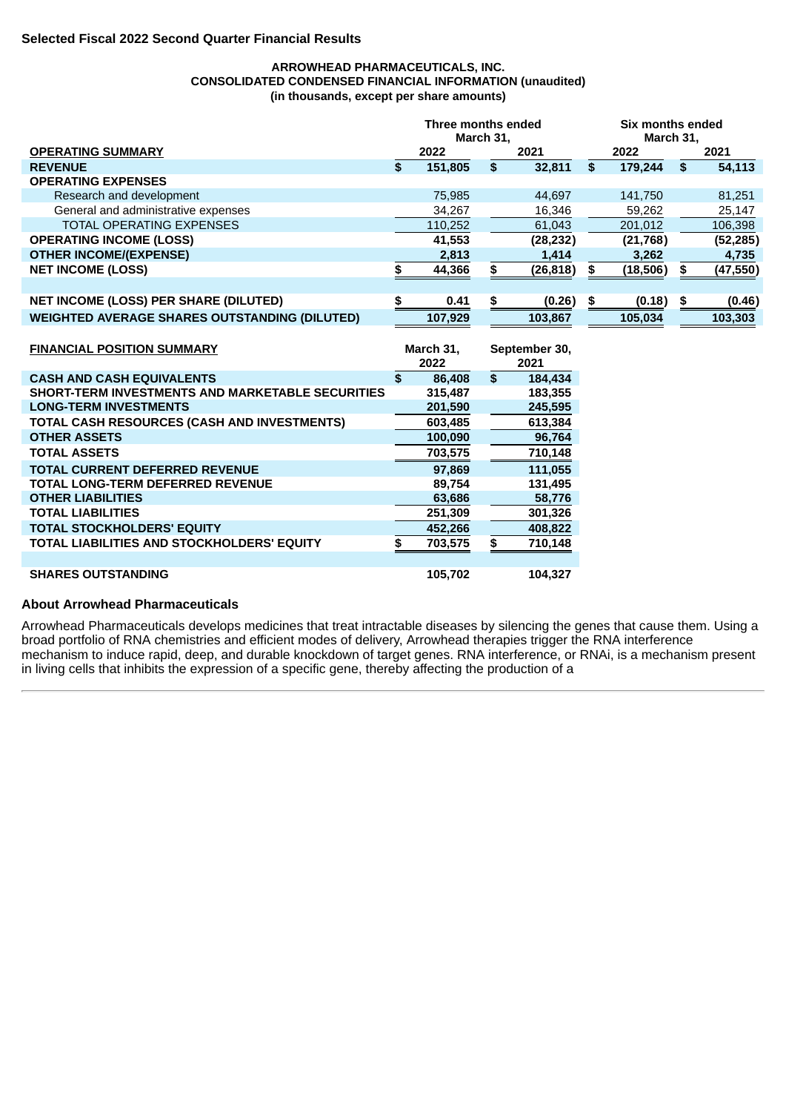# **Selected Fiscal 2022 Second Quarter Financial Results**

### **ARROWHEAD PHARMACEUTICALS, INC. CONSOLIDATED CONDENSED FINANCIAL INFORMATION (unaudited) (in thousands, except per share amounts)**

|                                                         | Three months ended<br>March 31, |         |                       |           | Six months ended<br>March 31, |          |               |           |  |
|---------------------------------------------------------|---------------------------------|---------|-----------------------|-----------|-------------------------------|----------|---------------|-----------|--|
| <b>OPERATING SUMMARY</b>                                |                                 | 2022    |                       | 2021      |                               | 2022     |               | 2021      |  |
| <b>REVENUE</b>                                          | \$                              | 151,805 | \$                    | 32,811    | \$                            | 179,244  | $\frac{1}{2}$ | 54,113    |  |
| <b>OPERATING EXPENSES</b>                               |                                 |         |                       |           |                               |          |               |           |  |
| Research and development                                |                                 | 75,985  |                       | 44,697    |                               | 141,750  |               | 81,251    |  |
| General and administrative expenses                     |                                 | 34,267  |                       | 16,346    |                               | 59,262   |               | 25,147    |  |
| <b>TOTAL OPERATING EXPENSES</b>                         |                                 | 110,252 |                       | 61,043    |                               | 201,012  |               | 106,398   |  |
| <b>OPERATING INCOME (LOSS)</b>                          |                                 | 41,553  |                       | (28, 232) |                               | (21,768) |               | (52, 285) |  |
| <b>OTHER INCOME/(EXPENSE)</b>                           |                                 | 2,813   |                       | 1,414     |                               | 3,262    |               | 4,735     |  |
| <b>NET INCOME (LOSS)</b>                                | \$                              | 44,366  | \$                    | (26, 818) | \$                            | (18,506) | \$            | (47, 550) |  |
|                                                         |                                 |         |                       |           |                               |          |               |           |  |
| <b>NET INCOME (LOSS) PER SHARE (DILUTED)</b>            | \$                              | 0.41    | \$                    | (0.26)    | \$                            | (0.18)   | \$            | (0.46)    |  |
| <b>WEIGHTED AVERAGE SHARES OUTSTANDING (DILUTED)</b>    |                                 | 107,929 |                       | 103,867   |                               | 105,034  |               | 103,303   |  |
|                                                         |                                 |         |                       |           |                               |          |               |           |  |
| <b>FINANCIAL POSITION SUMMARY</b>                       | March 31,<br>2022               |         | September 30,<br>2021 |           |                               |          |               |           |  |
|                                                         |                                 |         |                       |           |                               |          |               |           |  |
| <b>CASH AND CASH EQUIVALENTS</b>                        | \$                              | 86,408  | \$                    | 184,434   |                               |          |               |           |  |
| <b>SHORT-TERM INVESTMENTS AND MARKETABLE SECURITIES</b> |                                 | 315,487 |                       | 183,355   |                               |          |               |           |  |
| <b>LONG-TERM INVESTMENTS</b>                            |                                 | 201,590 |                       | 245,595   |                               |          |               |           |  |
| TOTAL CASH RESOURCES (CASH AND INVESTMENTS)             |                                 | 603,485 |                       | 613,384   |                               |          |               |           |  |
| <b>OTHER ASSETS</b>                                     |                                 | 100,090 |                       | 96,764    |                               |          |               |           |  |
| <b>TOTAL ASSETS</b>                                     |                                 | 703,575 |                       | 710,148   |                               |          |               |           |  |
| <b>TOTAL CURRENT DEFERRED REVENUE</b>                   |                                 | 97,869  |                       | 111,055   |                               |          |               |           |  |
| <b>TOTAL LONG-TERM DEFERRED REVENUE</b>                 |                                 | 89.754  |                       | 131,495   |                               |          |               |           |  |
| <b>OTHER LIABILITIES</b>                                |                                 | 63,686  |                       | 58,776    |                               |          |               |           |  |
| <b>TOTAL LIABILITIES</b>                                |                                 | 251,309 |                       | 301,326   |                               |          |               |           |  |
| <b>TOTAL STOCKHOLDERS' EQUITY</b>                       |                                 | 452,266 |                       | 408,822   |                               |          |               |           |  |
| TOTAL LIABILITIES AND STOCKHOLDERS' EQUITY              | \$                              | 703,575 | \$                    | 710,148   |                               |          |               |           |  |
|                                                         |                                 |         |                       |           |                               |          |               |           |  |
| <b>SHARES OUTSTANDING</b>                               |                                 | 105,702 |                       | 104,327   |                               |          |               |           |  |

# **About Arrowhead Pharmaceuticals**

Arrowhead Pharmaceuticals develops medicines that treat intractable diseases by silencing the genes that cause them. Using a broad portfolio of RNA chemistries and efficient modes of delivery, Arrowhead therapies trigger the RNA interference mechanism to induce rapid, deep, and durable knockdown of target genes. RNA interference, or RNAi, is a mechanism present in living cells that inhibits the expression of a specific gene, thereby affecting the production of a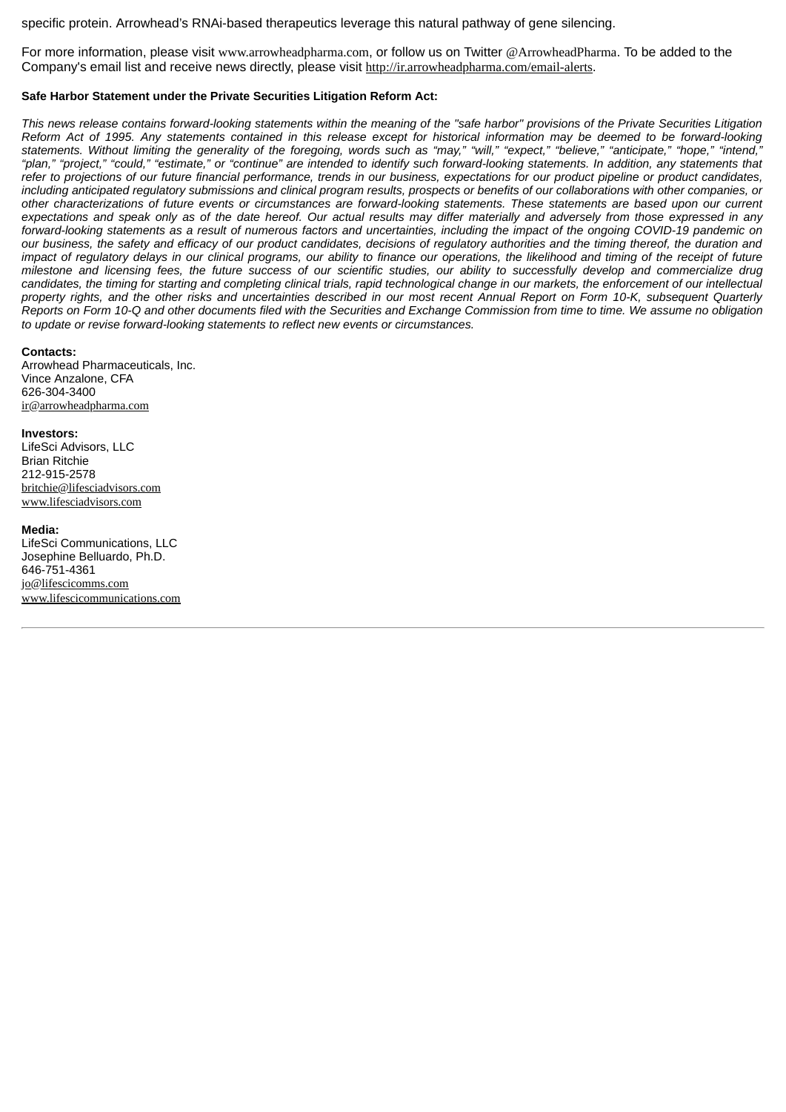specific protein. Arrowhead's RNAi-based therapeutics leverage this natural pathway of gene silencing.

For more information, please visit www.arrowheadpharma.com, or follow us on Twitter @ArrowheadPharma. To be added to the Company's email list and receive news directly, please visit http://ir.arrowheadpharma.com/email-alerts.

#### **Safe Harbor Statement under the Private Securities Litigation Reform Act:**

This news release contains forward-looking statements within the meaning of the "safe harbor" provisions of the Private Securities Litigation Reform Act of 1995. Any statements contained in this release except for historical information may be deemed to be forward-looking statements. Without limiting the generality of the foregoing, words such as "may," "will," "expect," "believe," "anticipate," "hope," "intend," "plan," "project," "could," "estimate," or "continue" are intended to identify such forward-looking statements. In addition, any statements that refer to projections of our future financial performance, trends in our business, expectations for our product pipeline or product candidates, including anticipated regulatory submissions and clinical program results, prospects or benefits of our collaborations with other companies, or other characterizations of future events or circumstances are forward-looking statements. These statements are based upon our current expectations and speak only as of the date hereof. Our actual results may differ materially and adversely from those expressed in any forward-looking statements as a result of numerous factors and uncertainties, including the impact of the ongoing COVID-19 pandemic on our business, the safety and efficacy of our product candidates, decisions of regulatory authorities and the timing thereof, the duration and impact of regulatory delays in our clinical programs, our ability to finance our operations, the likelihood and timing of the receipt of future milestone and licensing fees, the future success of our scientific studies, our ability to successfully develop and commercialize drug candidates, the timing for starting and completing clinical trials, rapid technological change in our markets, the enforcement of our intellectual property rights, and the other risks and uncertainties described in our most recent Annual Report on Form 10-K, subsequent Ouarterly Reports on Form 10-Q and other documents filed with the Securities and Exchange Commission from time to time. We assume no obligation *to update or revise forward-looking statements to reflect new events or circumstances.*

#### **Contacts:**

Arrowhead Pharmaceuticals, Inc. Vince Anzalone, CFA 626-304-3400 ir@arrowheadpharma.com

#### **Investors:**

LifeSci Advisors, LLC Brian Ritchie 212-915-2578 britchie@lifesciadvisors.com www.lifesciadvisors.com

#### **Media:**

LifeSci Communications, LLC Josephine Belluardo, Ph.D. 646-751-4361 jo@lifescicomms.com www.lifescicommunications.com